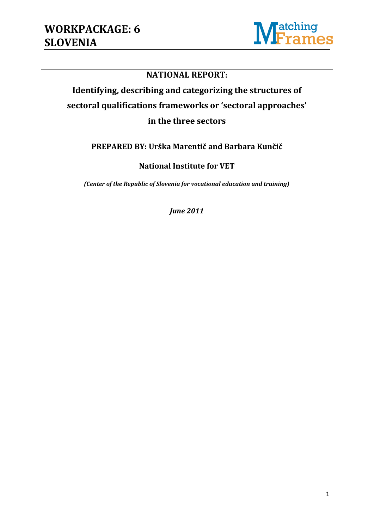

#### **NATIONAL REPORT:**

# **Identifying, describing and categorizing the structures of sectoral qualifications frameworks or 'sectoral approaches' in the three sectors**

#### **PREPARED BY: Urška Marentič and Barbara Kunčič**

**National Institute for VET**

*(Center of the Republic of Slovenia for vocational education and training)*

*June 2011*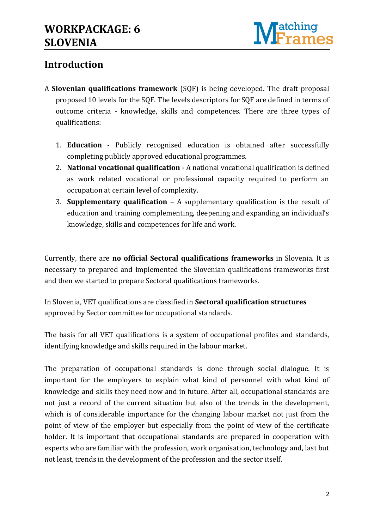

## **Introduction**

- A **Slovenian qualifications framework** (SQF) is being developed. The draft proposal proposed 10 levels for the SQF. The levels descriptors for SQF are defined in terms of outcome criteria - knowledge, skills and competences. There are three types of qualifications:
	- 1. **Education** Publicly recognised education is obtained after successfully completing publicly approved educational programmes.
	- 2. **National vocational qualification** A national vocational qualification is defined as work related vocational or professional capacity required to perform an occupation at certain level of complexity.
	- 3. **Supplementary qualification** A supplementary qualification is the result of education and training complementing, deepening and expanding an individual's knowledge, skills and competences for life and work.

Currently, there are **no official Sectoral qualifications frameworks** in Slovenia. It is necessary to prepared and implemented the Slovenian qualifications frameworks first and then we started to prepare Sectoral qualifications frameworks.

In Slovenia, VET qualifications are classified in **Sectoral qualification structures** approved by Sector committee for occupational standards.

The basis for all VET qualifications is a system of occupational profiles and standards, identifying knowledge and skills required in the labour market.

The preparation of occupational standards is done through social dialogue. It is important for the employers to explain what kind of personnel with what kind of knowledge and skills they need now and in future. After all, occupational standards are not just a record of the current situation but also of the trends in the development, which is of considerable importance for the changing labour market not just from the point of view of the employer but especially from the point of view of the certificate holder. It is important that occupational standards are prepared in cooperation with experts who are familiar with the profession, work organisation, technology and, last but not least, trends in the development of the profession and the sector itself.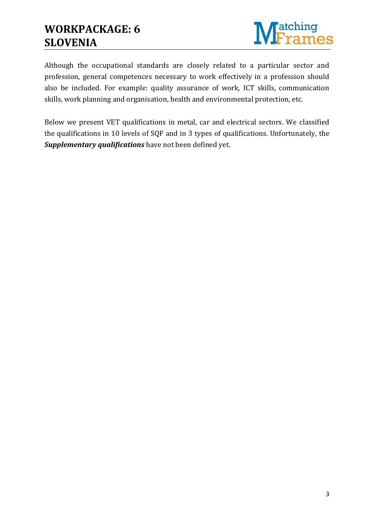## **WORKPACKAGE: 6 SLOVENIA**



Although the occupational standards are closely related to a particular sector and profession, general competences necessary to work effectively in a profession should also be included. For example: quality assurance of work, ICT skills, communication skills, work planning and organisation, health and environmental protection, etc.

Below we present VET qualifications in metal, car and electrical sectors. We classified the qualifications in 10 levels of SQF and in 3 types of qualifications. Unfortunately, the *Supplementary qualifications* have not been defined yet.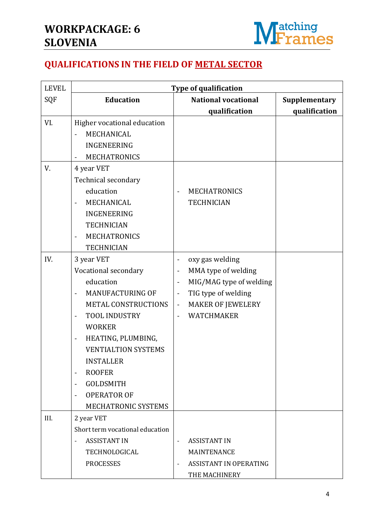

## **QUALIFICATIONS IN THE FIELD OF METAL SECTOR**

| <b>LEVEL</b> | <b>Type of qualification</b>                        |                              |                               |               |  |
|--------------|-----------------------------------------------------|------------------------------|-------------------------------|---------------|--|
| SQF          | <b>Education</b>                                    |                              | <b>National vocational</b>    | Supplementary |  |
|              |                                                     |                              | qualification                 | qualification |  |
| VI.          | Higher vocational education                         |                              |                               |               |  |
|              | MECHANICAL                                          |                              |                               |               |  |
|              | <b>INGENEERING</b>                                  |                              |                               |               |  |
|              | <b>MECHATRONICS</b>                                 |                              |                               |               |  |
| V.           | 4 year VET                                          |                              |                               |               |  |
|              | Technical secondary                                 |                              |                               |               |  |
|              | education                                           | $\qquad \qquad \blacksquare$ | <b>MECHATRONICS</b>           |               |  |
|              | MECHANICAL                                          |                              | <b>TECHNICIAN</b>             |               |  |
|              | <b>INGENEERING</b>                                  |                              |                               |               |  |
|              | <b>TECHNICIAN</b>                                   |                              |                               |               |  |
|              | <b>MECHATRONICS</b>                                 |                              |                               |               |  |
|              | <b>TECHNICIAN</b>                                   |                              |                               |               |  |
| IV.          | 3 year VET                                          | $\qquad \qquad \blacksquare$ | oxy gas welding               |               |  |
|              | Vocational secondary                                | $\blacksquare$               | MMA type of welding           |               |  |
|              | education                                           | $\overline{\phantom{a}}$     | MIG/MAG type of welding       |               |  |
|              | <b>MANUFACTURING OF</b><br>$\overline{\phantom{a}}$ | $\blacksquare$               | TIG type of welding           |               |  |
|              | <b>METAL CONSTRUCTIONS</b>                          | $\blacksquare$               | <b>MAKER OF JEWELERY</b>      |               |  |
|              | TOOL INDUSTRY<br>$\overline{\phantom{a}}$           |                              | <b>WATCHMAKER</b>             |               |  |
|              | <b>WORKER</b>                                       |                              |                               |               |  |
|              | HEATING, PLUMBING,<br>$\qquad \qquad \blacksquare$  |                              |                               |               |  |
|              | <b>VENTIALTION SYSTEMS</b>                          |                              |                               |               |  |
|              | <b>INSTALLER</b>                                    |                              |                               |               |  |
|              | <b>ROOFER</b><br>$\overline{\phantom{0}}$           |                              |                               |               |  |
|              | <b>GOLDSMITH</b><br>$\blacksquare$                  |                              |                               |               |  |
|              | <b>OPERATOR OF</b><br>$\overline{\phantom{a}}$      |                              |                               |               |  |
|              | MECHATRONIC SYSTEMS                                 |                              |                               |               |  |
| III.         | 2 year VET                                          |                              |                               |               |  |
|              | Short term vocational education                     |                              |                               |               |  |
|              | <b>ASSISTANT IN</b>                                 | $\overline{\phantom{a}}$     | <b>ASSISTANT IN</b>           |               |  |
|              | TECHNOLOGICAL                                       |                              | <b>MAINTENANCE</b>            |               |  |
|              | <b>PROCESSES</b>                                    | $\overline{\phantom{a}}$     | <b>ASSISTANT IN OPERATING</b> |               |  |
|              |                                                     |                              | THE MACHINERY                 |               |  |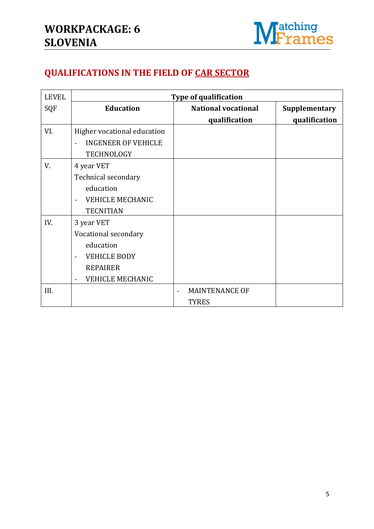

## **QUALIFICATIONS IN THE FIELD OF CAR SECTOR**

| <b>LEVEL</b> | Type of qualification                                                                                                                                          |                                       |               |  |  |  |
|--------------|----------------------------------------------------------------------------------------------------------------------------------------------------------------|---------------------------------------|---------------|--|--|--|
| SQF          | <b>Education</b>                                                                                                                                               | <b>National vocational</b>            | Supplementary |  |  |  |
|              |                                                                                                                                                                | qualification                         | qualification |  |  |  |
| VI.          | Higher vocational education<br><b>INGENEER OF VEHICLE</b><br>$\overline{a}$<br><b>TECHNOLOGY</b>                                                               |                                       |               |  |  |  |
| V.           | 4 year VET<br>Technical secondary<br>education<br><b>VEHICLE MECHANIC</b><br>$\blacksquare$<br><b>TECNITIAN</b>                                                |                                       |               |  |  |  |
| IV.          | 3 year VET<br>Vocational secondary<br>education<br><b>VEHICLE BODY</b><br>$\ddot{\phantom{1}}$<br><b>REPAIRER</b><br><b>VEHICLE MECHANIC</b><br>$\blacksquare$ |                                       |               |  |  |  |
| III.         |                                                                                                                                                                | <b>MAINTENANCE OF</b><br><b>TYRES</b> |               |  |  |  |